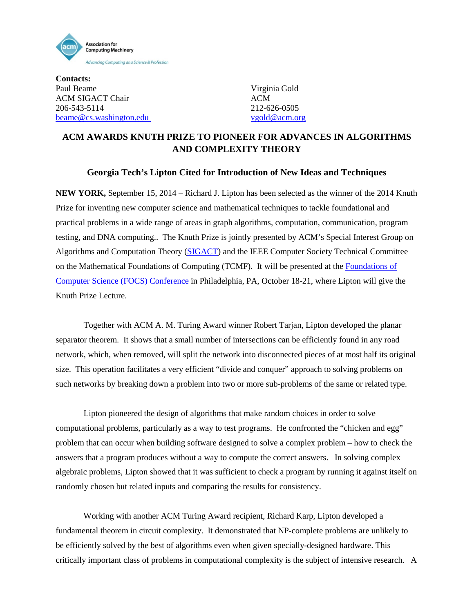

**Contacts:** Paul Beame Virginia Gold ACM SIGACT Chair ACM 206-543-5114 212-626-0505 [beame@cs.washington.edu](mailto:beame@cs.washington.edu) [vgold@acm.org](mailto:vgold@acm.org)

## **ACM AWARDS KNUTH PRIZE TO PIONEER FOR ADVANCES IN ALGORITHMS AND COMPLEXITY THEORY**

## **Georgia Tech's Lipton Cited for Introduction of New Ideas and Techniques**

**NEW YORK,** September 15, 2014 – Richard J. Lipton has been selected as the winner of the 2014 Knuth Prize for inventing new computer science and mathematical techniques to tackle foundational and practical problems in a wide range of areas in graph algorithms, computation, communication, program testing, and DNA computing.. The Knuth Prize is jointly presented by ACM's Special Interest Group on Algorithms and Computation Theory [\(SIGACT\)](http://sigact.acm.org/) and the IEEE Computer Society Technical Committee on the Mathematical Foundations of Computing (TCMF). It will be presented at the [Foundations of](http://www.boazbarak.org/focs14)  [Computer Science \(FOCS\) Conference](http://www.boazbarak.org/focs14) in Philadelphia, PA, October 18-21, where Lipton will give the Knuth Prize Lecture.

Together with ACM A. M. Turing Award winner Robert Tarjan, Lipton developed the planar separator theorem. It shows that a small number of intersections can be efficiently found in any road network, which, when removed, will split the network into disconnected pieces of at most half its original size. This operation facilitates a very efficient "divide and conquer" approach to solving problems on such networks by breaking down a problem into two or more sub-problems of the same or related type.

Lipton pioneered the design of algorithms that make random choices in order to solve computational problems, particularly as a way to test programs. He confronted the "chicken and egg" problem that can occur when building software designed to solve a complex problem – how to check the answers that a program produces without a way to compute the correct answers. In solving complex algebraic problems, Lipton showed that it was sufficient to check a program by running it against itself on randomly chosen but related inputs and comparing the results for consistency.

Working with another ACM Turing Award recipient, Richard Karp, Lipton developed a fundamental theorem in circuit complexity. It demonstrated that NP-complete problems are unlikely to be efficiently solved by the best of algorithms even when given specially-designed hardware. This critically important class of problems in computational complexity is the subject of intensive research. A